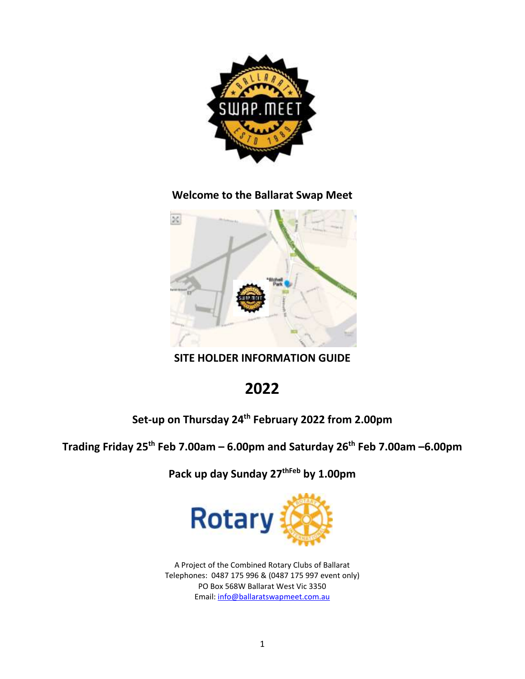

**Welcome to the Ballarat Swap Meet**



**SITE HOLDER INFORMATION GUIDE**

# **2022**

## **Set-up on Thursday 24 th February 2022 from 2.00pm**

## **Trading Friday 25 th Feb 7.00am – 6.00pm and Saturday 26 th Feb 7.00am –6.00pm**

**Pack up day Sunday 27thFeb by 1.00pm**



A Project of the Combined Rotary Clubs of Ballarat Telephones: 0487 175 996 & (0487 175 997 event only) PO Box 568W Ballarat West Vic 3350 Email: [info@ballaratswapmeet.com.au](mailto:info@ballaratswapmeet.com.au)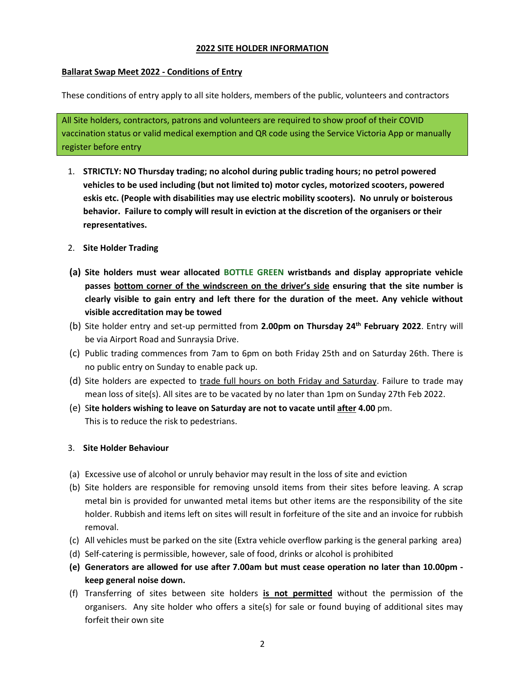#### **2022 SITE HOLDER INFORMATION**

#### **Ballarat Swap Meet 2022 - Conditions of Entry**

These conditions of entry apply to all site holders, members of the public, volunteers and contractors

All Site holders, contractors, patrons and volunteers are required to show proof of their COVID vaccination status or valid medical exemption and QR code using the Service Victoria App or manually register before entry

- 1. **STRICTLY: NO Thursday trading; no alcohol during public trading hours; no petrol powered vehicles to be used including (but not limited to) motor cycles, motorized scooters, powered eskis etc. (People with disabilities may use electric mobility scooters). No unruly or boisterous behavior. Failure to comply will result in eviction at the discretion of the organisers or their representatives.**
- 2. **Site Holder Trading**
- **(a) Site holders must wear allocated BOTTLE GREEN wristbands and display appropriate vehicle passes bottom corner of the windscreen on the driver's side ensuring that the site number is clearly visible to gain entry and left there for the duration of the meet. Any vehicle without visible accreditation may be towed**
- (b) Site holder entry and set-up permitted from **2.00pm on Thursday 24 th February 2022**. Entry will be via Airport Road and Sunraysia Drive.
- (c) Public trading commences from 7am to 6pm on both Friday 25th and on Saturday 26th. There is no public entry on Sunday to enable pack up.
- (d) Site holders are expected to trade full hours on both Friday and Saturday. Failure to trade may mean loss of site(s). All sites are to be vacated by no later than 1pm on Sunday 27th Feb 2022.
- (e) S**ite holders wishing to leave on Saturday are not to vacate until after 4.00** pm. This is to reduce the risk to pedestrians.

#### 3. **Site Holder Behaviour**

- (a) Excessive use of alcohol or unruly behavior may result in the loss of site and eviction
- (b) Site holders are responsible for removing unsold items from their sites before leaving. A scrap metal bin is provided for unwanted metal items but other items are the responsibility of the site holder. Rubbish and items left on sites will result in forfeiture of the site and an invoice for rubbish removal.
- (c) All vehicles must be parked on the site (Extra vehicle overflow parking is the general parking area)
- (d) Self-catering is permissible, however, sale of food, drinks or alcohol is prohibited
- **(e) Generators are allowed for use after 7.00am but must cease operation no later than 10.00pm keep general noise down.**
- (f) Transferring of sites between site holders **is not permitted** without the permission of the organisers. Any site holder who offers a site(s) for sale or found buying of additional sites may forfeit their own site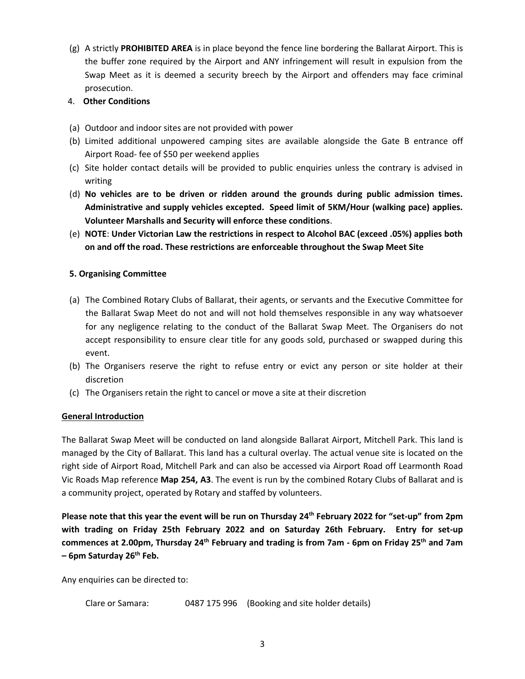(g) A strictly **PROHIBITED AREA** is in place beyond the fence line bordering the Ballarat Airport. This is the buffer zone required by the Airport and ANY infringement will result in expulsion from the Swap Meet as it is deemed a security breech by the Airport and offenders may face criminal prosecution.

#### 4. **Other Conditions**

- (a) Outdoor and indoor sites are not provided with power
- (b) Limited additional unpowered camping sites are available alongside the Gate B entrance off Airport Road- fee of \$50 per weekend applies
- (c) Site holder contact details will be provided to public enquiries unless the contrary is advised in writing
- (d) **No vehicles are to be driven or ridden around the grounds during public admission times. Administrative and supply vehicles excepted. Speed limit of 5KM/Hour (walking pace) applies. Volunteer Marshalls and Security will enforce these conditions**.
- (e) **NOTE**: **Under Victorian Law the restrictions in respect to Alcohol BAC (exceed .05%) applies both on and off the road. These restrictions are enforceable throughout the Swap Meet Site**

#### **5. Organising Committee**

- (a) The Combined Rotary Clubs of Ballarat, their agents, or servants and the Executive Committee for the Ballarat Swap Meet do not and will not hold themselves responsible in any way whatsoever for any negligence relating to the conduct of the Ballarat Swap Meet. The Organisers do not accept responsibility to ensure clear title for any goods sold, purchased or swapped during this event.
- (b) The Organisers reserve the right to refuse entry or evict any person or site holder at their discretion
- (c) The Organisers retain the right to cancel or move a site at their discretion

#### **General Introduction**

The Ballarat Swap Meet will be conducted on land alongside Ballarat Airport, Mitchell Park. This land is managed by the City of Ballarat. This land has a cultural overlay. The actual venue site is located on the right side of Airport Road, Mitchell Park and can also be accessed via Airport Road off Learmonth Road Vic Roads Map reference **Map 254, A3**. The event is run by the combined Rotary Clubs of Ballarat and is a community project, operated by Rotary and staffed by volunteers.

**Please note that this year the event will be run on Thursday 24 th February 2022 for "set-up" from 2pm with trading on Friday 25th February 2022 and on Saturday 26th February. Entry for set-up commences at 2.00pm, Thursday 24 th February and trading is from 7am - 6pm on Friday 25th and 7am – 6pm Saturday 26th Feb.** 

Any enquiries can be directed to:

```
Clare or Samara: 0487 175 996 (Booking and site holder details)
```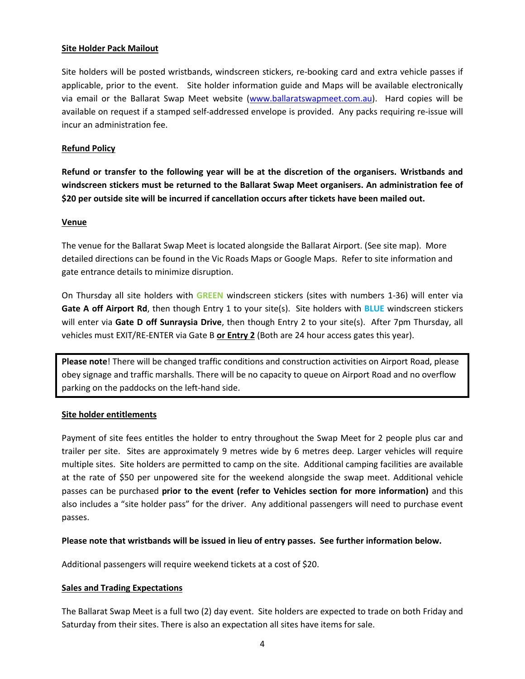#### **Site Holder Pack Mailout**

Site holders will be posted wristbands, windscreen stickers, re-booking card and extra vehicle passes if applicable, prior to the event. Site holder information guide and Maps will be available electronically via email or the Ballarat Swap Meet website [\(www.ballaratswapmeet.com.au\)](http://www.ballaratswapmeet.com.au/). Hard copies will be available on request if a stamped self-addressed envelope is provided. Any packs requiring re-issue will incur an administration fee.

#### **Refund Policy**

**Refund or transfer to the following year will be at the discretion of the organisers. Wristbands and windscreen stickers must be returned to the Ballarat Swap Meet organisers. An administration fee of \$20 per outside site will be incurred if cancellation occurs after tickets have been mailed out.**

#### **Venue**

The venue for the Ballarat Swap Meet is located alongside the Ballarat Airport. (See site map). More detailed directions can be found in the Vic Roads Maps or Google Maps. Refer to site information and gate entrance details to minimize disruption.

On Thursday all site holders with **GREEN** windscreen stickers (sites with numbers 1-36) will enter via **Gate A off Airport Rd**, then though Entry 1 to your site(s). Site holders with **BLUE** windscreen stickers will enter via **Gate D off Sunraysia Drive**, then though Entry 2 to your site(s). After 7pm Thursday, all vehicles must EXIT/RE-ENTER via Gate B **or Entry 2** (Both are 24 hour access gates this year).

**Please note**! There will be changed traffic conditions and construction activities on Airport Road, please obey signage and traffic marshalls. There will be no capacity to queue on Airport Road and no overflow parking on the paddocks on the left-hand side.

#### **Site holder entitlements**

Payment of site fees entitles the holder to entry throughout the Swap Meet for 2 people plus car and trailer per site. Sites are approximately 9 metres wide by 6 metres deep. Larger vehicles will require multiple sites. Site holders are permitted to camp on the site. Additional camping facilities are available at the rate of \$50 per unpowered site for the weekend alongside the swap meet. Additional vehicle passes can be purchased **prior to the event (refer to Vehicles section for more information)** and this also includes a "site holder pass" for the driver. Any additional passengers will need to purchase event passes.

#### **Please note that wristbands will be issued in lieu of entry passes. See further information below.**

Additional passengers will require weekend tickets at a cost of \$20.

#### **Sales and Trading Expectations**

The Ballarat Swap Meet is a full two (2) day event. Site holders are expected to trade on both Friday and Saturday from their sites. There is also an expectation all sites have items for sale.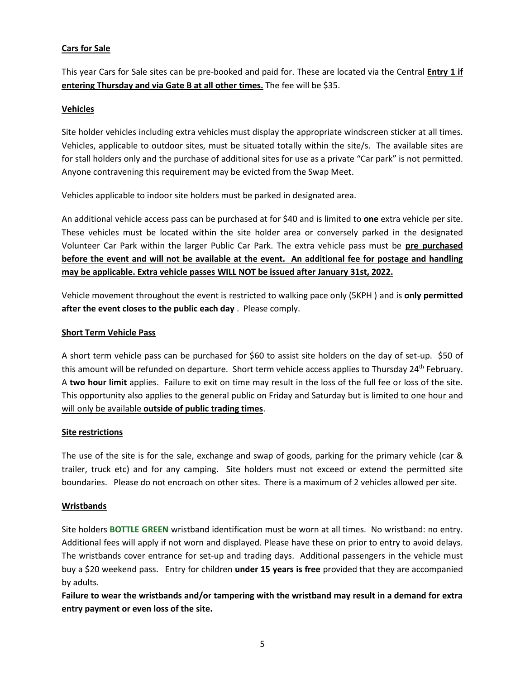#### **Cars for Sale**

This year Cars for Sale sites can be pre-booked and paid for. These are located via the Central **Entry 1 if entering Thursday and via Gate B at all other times.** The fee will be \$35.

#### **Vehicles**

Site holder vehicles including extra vehicles must display the appropriate windscreen sticker at all times. Vehicles, applicable to outdoor sites, must be situated totally within the site/s. The available sites are for stall holders only and the purchase of additional sites for use as a private "Car park" is not permitted. Anyone contravening this requirement may be evicted from the Swap Meet.

Vehicles applicable to indoor site holders must be parked in designated area.

An additional vehicle access pass can be purchased at for \$40 and is limited to **one** extra vehicle per site. These vehicles must be located within the site holder area or conversely parked in the designated Volunteer Car Park within the larger Public Car Park. The extra vehicle pass must be **pre purchased before the event and will not be available at the event. An additional fee for postage and handling may be applicable. Extra vehicle passes WILL NOT be issued after January 31st, 2022.**

Vehicle movement throughout the event is restricted to walking pace only (5KPH ) and is **only permitted after the event closes to the public each day** . Please comply.

#### **Short Term Vehicle Pass**

A short term vehicle pass can be purchased for \$60 to assist site holders on the day of set-up. \$50 of this amount will be refunded on departure. Short term vehicle access applies to Thursday 24<sup>th</sup> February. A **two hour limit** applies. Failure to exit on time may result in the loss of the full fee or loss of the site. This opportunity also applies to the general public on Friday and Saturday but is limited to one hour and will only be available **outside of public trading times**.

#### **Site restrictions**

The use of the site is for the sale, exchange and swap of goods, parking for the primary vehicle (car & trailer, truck etc) and for any camping. Site holders must not exceed or extend the permitted site boundaries. Please do not encroach on other sites. There is a maximum of 2 vehicles allowed per site.

#### **Wristbands**

Site holders **BOTTLE GREEN** wristband identification must be worn at all times. No wristband: no entry. Additional fees will apply if not worn and displayed. Please have these on prior to entry to avoid delays. The wristbands cover entrance for set-up and trading days. Additional passengers in the vehicle must buy a \$20 weekend pass. Entry for children **under 15 years is free** provided that they are accompanied by adults.

**Failure to wear the wristbands and/or tampering with the wristband may result in a demand for extra entry payment or even loss of the site.**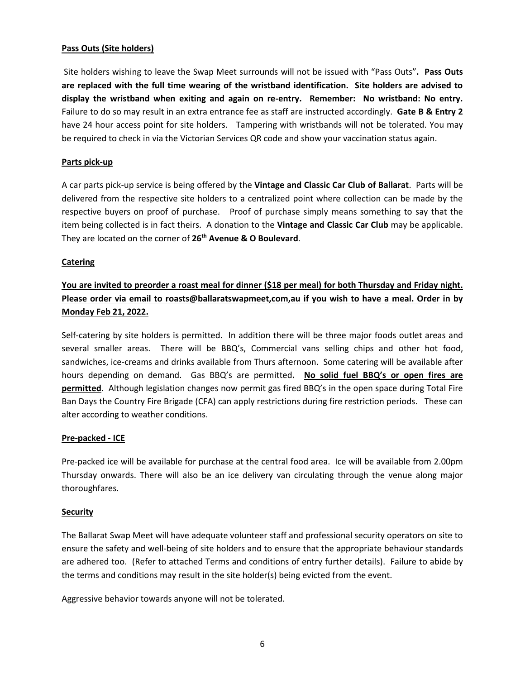#### **Pass Outs (Site holders)**

Site holders wishing to leave the Swap Meet surrounds will not be issued with "Pass Outs"**. Pass Outs are replaced with the full time wearing of the wristband identification. Site holders are advised to display the wristband when exiting and again on re-entry. Remember: No wristband: No entry.**  Failure to do so may result in an extra entrance fee as staff are instructed accordingly. **Gate B & Entry 2** have 24 hour access point for site holders. Tampering with wristbands will not be tolerated. You may be required to check in via the Victorian Services QR code and show your vaccination status again.

#### **Parts pick-up**

A car parts pick-up service is being offered by the **Vintage and Classic Car Club of Ballarat**. Parts will be delivered from the respective site holders to a centralized point where collection can be made by the respective buyers on proof of purchase. Proof of purchase simply means something to say that the item being collected is in fact theirs. A donation to the **Vintage and Classic Car Club** may be applicable. They are located on the corner of **26th Avenue & O Boulevard**.

#### **Catering**

### **You are invited to preorder a roast meal for dinner (\$18 per meal) for both Thursday and Friday night. Please order via email to roasts@ballaratswapmeet,com,au if you wish to have a meal. Order in by Monday Feb 21, 2022.**

Self-catering by site holders is permitted. In addition there will be three major foods outlet areas and several smaller areas. There will be BBQ's, Commercial vans selling chips and other hot food, sandwiches, ice-creams and drinks available from Thurs afternoon. Some catering will be available after hours depending on demand. Gas BBQ's are permitted**. No solid fuel BBQ's or open fires are permitted**. Although legislation changes now permit gas fired BBQ's in the open space during Total Fire Ban Days the Country Fire Brigade (CFA) can apply restrictions during fire restriction periods. These can alter according to weather conditions.

#### **Pre-packed - ICE**

Pre-packed ice will be available for purchase at the central food area. Ice will be available from 2.00pm Thursday onwards. There will also be an ice delivery van circulating through the venue along major thoroughfares.

#### **Security**

The Ballarat Swap Meet will have adequate volunteer staff and professional security operators on site to ensure the safety and well-being of site holders and to ensure that the appropriate behaviour standards are adhered too. (Refer to attached Terms and conditions of entry further details). Failure to abide by the terms and conditions may result in the site holder(s) being evicted from the event.

Aggressive behavior towards anyone will not be tolerated.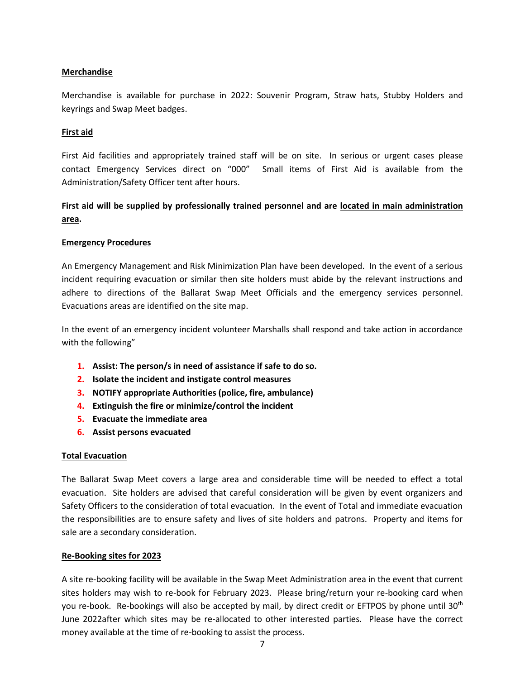#### **Merchandise**

Merchandise is available for purchase in 2022: Souvenir Program, Straw hats, Stubby Holders and keyrings and Swap Meet badges.

#### **First aid**

First Aid facilities and appropriately trained staff will be on site. In serious or urgent cases please contact Emergency Services direct on "000" Small items of First Aid is available from the Administration/Safety Officer tent after hours.

### **First aid will be supplied by professionally trained personnel and are located in main administration area.**

#### **Emergency Procedures**

An Emergency Management and Risk Minimization Plan have been developed. In the event of a serious incident requiring evacuation or similar then site holders must abide by the relevant instructions and adhere to directions of the Ballarat Swap Meet Officials and the emergency services personnel. Evacuations areas are identified on the site map.

In the event of an emergency incident volunteer Marshalls shall respond and take action in accordance with the following"

- **1. Assist: The person/s in need of assistance if safe to do so.**
- **2. Isolate the incident and instigate control measures**
- **3. NOTIFY appropriate Authorities (police, fire, ambulance)**
- **4. Extinguish the fire or minimize/control the incident**
- **5. Evacuate the immediate area**
- **6. Assist persons evacuated**

#### **Total Evacuation**

The Ballarat Swap Meet covers a large area and considerable time will be needed to effect a total evacuation. Site holders are advised that careful consideration will be given by event organizers and Safety Officers to the consideration of total evacuation. In the event of Total and immediate evacuation the responsibilities are to ensure safety and lives of site holders and patrons. Property and items for sale are a secondary consideration.

#### **Re-Booking sites for 2023**

A site re-booking facility will be available in the Swap Meet Administration area in the event that current sites holders may wish to re-book for February 2023. Please bring/return your re-booking card when you re-book. Re-bookings will also be accepted by mail, by direct credit or EFTPOS by phone until 30<sup>th</sup> June 2022after which sites may be re-allocated to other interested parties. Please have the correct money available at the time of re-booking to assist the process.